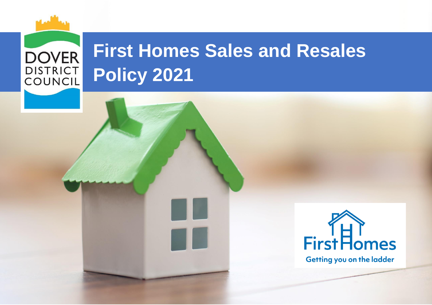# **DOVER DISTRICT** COUNCIL

# **First Homes Sales and Resales Policy 2021**

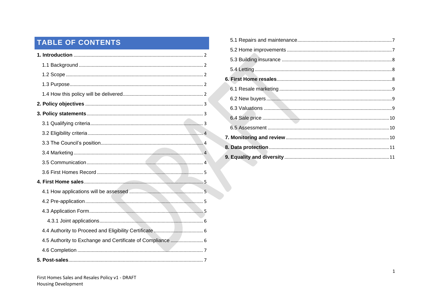# TABLE OF CONTENTS

| 4.5 Authority to Exchange and Certificate of Compliance  6 |  |  |  |
|------------------------------------------------------------|--|--|--|
|                                                            |  |  |  |
|                                                            |  |  |  |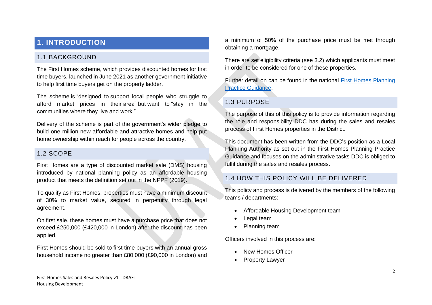# <span id="page-2-0"></span>**1. INTRODUCTION**

#### <span id="page-2-1"></span>1.1 BACKGROUND

The First Homes scheme, which provides discounted homes for first time buyers, launched in June 2021 as another government initiative to help first time buyers get on the property ladder.

The scheme is "designed to support local people who struggle to afford market prices in their area" but want to "stay in the communities where they live and work."

Delivery of the scheme is part of the government's wider pledge to build one million new affordable and attractive homes and help put home ownership within reach for people across the country.

#### <span id="page-2-2"></span>1.2 SCOPE

First Homes are a type of discounted market sale (DMS) housing introduced by national planning policy as an affordable housing product that meets the definition set out in the NPPF (2019).

To qualify as First Homes, properties must have a minimum discount of 30% to market value, secured in perpetuity through legal agreement.

On first sale, these homes must have a purchase price that does not exceed £250,000 (£420,000 in London) after the discount has been applied.

First Homes should be sold to first time buyers with an annual gross household income no greater than £80,000 (£90,000 in London) and a minimum of 50% of the purchase price must be met through obtaining a mortgage.

There are set eligibility criteria (see 3.2) which applicants must meet in order to be considered for one of these properties.

Further detail on can be found in the national [First Homes Planning](https://www.gov.uk/guidance/first-homes)  [Practice Guidance.](https://www.gov.uk/guidance/first-homes)

#### <span id="page-2-3"></span>1.3 PURPOSE

The purpose of this of this policy is to provide information regarding the role and responsibility DDC has during the sales and resales process of First Homes properties in the District.

This document has been written from the DDC's position as a Local Planning Authority as set out in the First Homes Planning Practice Guidance and focuses on the administrative tasks DDC is obliged to fulfil during the sales and resales process.

### <span id="page-2-4"></span>1.4 HOW THIS POLICY WILL BE DELIVERED

This policy and process is delivered by the members of the following teams / departments:

- Affordable Housing Development team
- Legal team
- Planning team

Officers involved in this process are:

- New Homes Officer
- Property Lawyer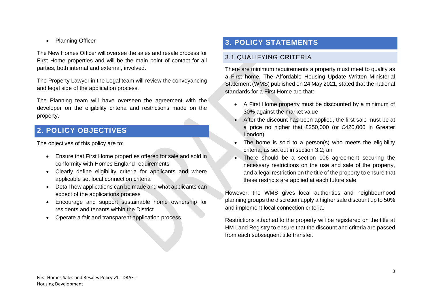**Planning Officer** 

The New Homes Officer will oversee the sales and resale process for First Home properties and will be the main point of contact for all parties, both internal and external, involved.

The Property Lawyer in the Legal team will review the conveyancing and legal side of the application process.

The Planning team will have overseen the agreement with the developer on the eligibility criteria and restrictions made on the property.

# <span id="page-3-0"></span>**2. POLICY OBJECTIVES**

The objectives of this policy are to:

- Ensure that First Home properties offered for sale and sold in conformity with Homes England requirements
- Clearly define eligibility criteria for applicants and where applicable set local connection criteria
- Detail how applications can be made and what applicants can expect of the applications process
- Encourage and support sustainable home ownership for residents and tenants within the District
- Operate a fair and transparent application process

# <span id="page-3-1"></span>**3. POLICY STATEMENTS**

#### <span id="page-3-2"></span>3.1 QUALIFYING CRITERIA

There are minimum requirements a property must meet to qualify as a First home. The Affordable Housing Update Written Ministerial Statement (WMS) published on 24 May 2021, stated that the national standards for a First Home are that:

- A First Home property must be discounted by a minimum of 30% against the market value
- After the discount has been applied, the first sale must be at a price no higher that £250,000 (or £420,000 in Greater London)
- The home is sold to a person(s) who meets the eligibility criteria, as set out in section 3.2; an
- There should be a section 106 agreement securing the necessary restrictions on the use and sale of the property, and a legal restriction on the title of the property to ensure that these restricts are applied at each future sale

However, the WMS gives local authorities and neighbourhood planning groups the discretion apply a higher sale discount up to 50% and implement local connection criteria.

Restrictions attached to the property will be registered on the title at HM Land Registry to ensure that the discount and criteria are passed from each subsequent title transfer.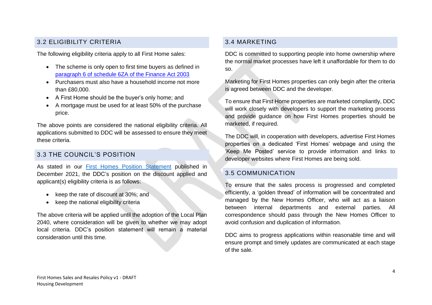## <span id="page-4-0"></span>3.2 ELIGIBILITY CRITERIA

The following eligibility criteria apply to all First Home sales:

- The scheme is only open to first time buyers as defined in [paragraph 6 of schedule 6ZA of the Finance Act 2003](https://www.legislation.gov.uk/ukpga/2003/14/schedule/6ZA)
- Purchasers must also have a household income not more than £80,000.
- A First Home should be the buyer's only home; and
- A mortgage must be used for at least 50% of the purchase price.

The above points are considered the national eligibility criteria. All applications submitted to DDC will be assessed to ensure they meet these criteria.

## <span id="page-4-1"></span>3.3 THE COUNCIL'S POSITION

As stated in our [First Homes Position](https://www.dover.gov.uk/Planning/Planning-Policy-and-Regeneration/PDF/DOVER-FIRST-HOMES-INTERIM-POSITION-STATEMENT-FINAL-16.11.21.pdf) Statement published in December 2021, the DDC's position on the discount applied and applicant(s) eligibility criteria is as follows:

- keep the rate of discount at 30%; and
- keep the national eligibility criteria

The above criteria will be applied until the adoption of the Local Plan 2040, where consideration will be given to whether we may adopt local criteria. DDC's position statement will remain a material consideration until this time.

## <span id="page-4-2"></span>3.4 MARKETING

DDC is committed to supporting people into home ownership where the normal market processes have left it unaffordable for them to do so.

Marketing for First Homes properties can only begin after the criteria is agreed between DDC and the developer.

To ensure that First Home properties are marketed compliantly, DDC will work closely with developers to support the marketing process and provide guidance on how First Homes properties should be marketed, if required.

The DDC will, in cooperation with developers, advertise First Homes properties on a dedicated 'First Homes' webpage and using the 'Keep Me Posted' service to provide information and links to developer websites where First Homes are being sold.

#### <span id="page-4-3"></span>3.5 COMMUNICATION

To ensure that the sales process is progressed and completed efficiently, a 'golden thread' of information will be concentrated and managed by the New Homes Officer, who will act as a liaison between internal departments and external parties. All correspondence should pass through the New Homes Officer to avoid confusion and duplication of information.

DDC aims to progress applications within reasonable time and will ensure prompt and timely updates are communicated at each stage of the sale.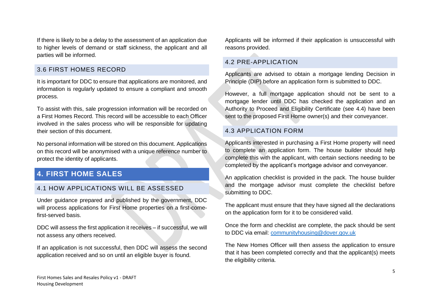If there is likely to be a delay to the assessment of an application due to higher levels of demand or staff sickness, the applicant and all parties will be informed.

#### <span id="page-5-0"></span>3.6 FIRST HOMES RECORD

It is important for DDC to ensure that applications are monitored, and information is regularly updated to ensure a compliant and smooth process.

To assist with this, sale progression information will be recorded on a First Homes Record. This record will be accessible to each Officer involved in the sales process who will be responsible for updating their section of this document.

No personal information will be stored on this document. Applications on this record will be anonymised with a unique reference number to protect the identity of applicants.

## <span id="page-5-1"></span>**4. FIRST HOME SALES**

#### <span id="page-5-2"></span>4.1 HOW APPLICATIONS WILL BE ASSESSED

Under guidance prepared and published by the government, DDC will process applications for First Home properties on a first-comefirst-served basis.

DDC will assess the first application it receives – if successful, we will not assess any others received.

If an application is not successful, then DDC will assess the second application received and so on until an eligible buyer is found.

Applicants will be informed if their application is unsuccessful with reasons provided.

### <span id="page-5-3"></span>4.2 PRE-APPLICATION

Applicants are advised to obtain a mortgage lending Decision in Principle (DIP) before an application form is submitted to DDC.

However, a full mortgage application should not be sent to a mortgage lender until DDC has checked the application and an Authority to Proceed and Eligibility Certificate (see 4.4) have been sent to the proposed First Home owner(s) and their conveyancer.

#### <span id="page-5-4"></span>4.3 APPLICATION FORM

Applicants interested in purchasing a First Home property will need to complete an application form. The house builder should help complete this with the applicant, with certain sections needing to be completed by the applicant's mortgage advisor and conveyancer.

An application checklist is provided in the pack. The house builder and the mortgage advisor must complete the checklist before submitting to DDC.

The applicant must ensure that they have signed all the declarations on the application form for it to be considered valid.

Once the form and checklist are complete, the pack should be sent to DDC via email: [communityhousing@dover.gov.uk](mailto:communityhousing@dover.gov.uk)

The New Homes Officer will then assess the application to ensure that it has been completed correctly and that the applicant(s) meets the eligibility criteria.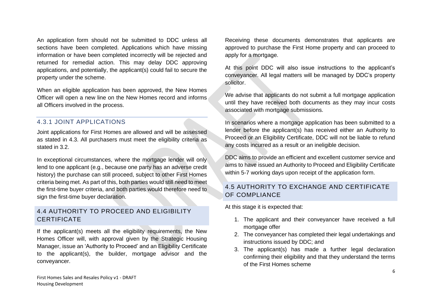An application form should not be submitted to DDC unless all sections have been completed. Applications which have missing information or have been completed incorrectly will be rejected and returned for remedial action. This may delay DDC approving applications, and potentially, the applicant(s) could fail to secure the property under the scheme.

When an eligible application has been approved, the New Homes Officer will open a new line on the New Homes record and informs all Officers involved in the process.

#### <span id="page-6-0"></span>4.3.1 JOINT APPLICATIONS

Joint applications for First Homes are allowed and will be assessed as stated in 4.3. All purchasers must meet the eligibility criteria as stated in 3.2.

In exceptional circumstances, where the mortgage lender will only lend to one applicant (e.g., because one party has an adverse credit history) the purchase can still proceed, subject to other First Homes criteria being met. As part of this, both parties would still need to meet the first-time buyer criteria, and both parties would therefore need to sign the first-time buyer declaration.

## <span id="page-6-1"></span>4.4 AUTHORITY TO PROCEED AND ELIGIBILITY **CERTIFICATE**

If the applicant(s) meets all the eligibility requirements, the New Homes Officer will, with approval given by the Strategic Housing Manager, issue an 'Authority to Proceed' and an Eligibility Certificate to the applicant(s), the builder, mortgage advisor and the conveyancer.

Receiving these documents demonstrates that applicants are approved to purchase the First Home property and can proceed to apply for a mortgage.

At this point DDC will also issue instructions to the applicant's conveyancer. All legal matters will be managed by DDC's property solicitor.

We advise that applicants do not submit a full mortgage application until they have received both documents as they may incur costs associated with mortgage submissions.

In scenarios where a mortgage application has been submitted to a lender before the applicant(s) has received either an Authority to Proceed or an Eligibility Certificate, DDC will not be liable to refund any costs incurred as a result or an ineligible decision.

DDC aims to provide an efficient and excellent customer service and aims to have issued an Authority to Proceed and Eligibility Certificate within 5-7 working days upon receipt of the application form.

## <span id="page-6-2"></span>4.5 AUTHORITY TO EXCHANGE AND CERTIFICATE OF COMPLIANCE

At this stage it is expected that:

- 1. The applicant and their conveyancer have received a full mortgage offer
- 2. The conveyancer has completed their legal undertakings and instructions issued by DDC; and
- 3. The applicant(s) has made a further legal declaration confirming their eligibility and that they understand the terms of the First Homes scheme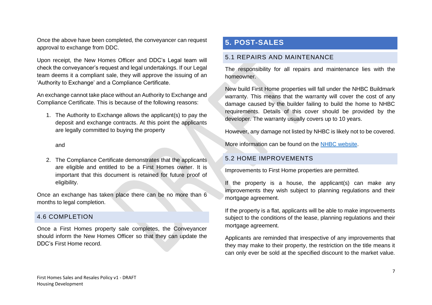Once the above have been completed, the conveyancer can request approval to exchange from DDC.

Upon receipt, the New Homes Officer and DDC's Legal team will check the conveyancer's request and legal undertakings. If our Legal team deems it a compliant sale, they will approve the issuing of an 'Authority to Exchange' and a Compliance Certificate.

An exchange cannot take place without an Authority to Exchange and Compliance Certificate. This is because of the following reasons:

1. The Authority to Exchange allows the applicant(s) to pay the deposit and exchange contracts. At this point the applicants are legally committed to buying the property

and

2. The Compliance Certificate demonstrates that the applicants are eligible and entitled to be a First Homes owner. It is important that this document is retained for future proof of eligibility.

Once an exchange has taken place there can be no more than 6 months to legal completion.

#### <span id="page-7-0"></span>4.6 COMPLETION

Once a First Homes property sale completes, the Conveyancer should inform the New Homes Officer so that they can update the DDC's First Home record.

# <span id="page-7-1"></span>**5. POST-SALES**

#### <span id="page-7-2"></span>5.1 REPAIRS AND MAINTENANCE

The responsibility for all repairs and maintenance lies with the homeowner.

New build First Home properties will fall under the NHBC Buildmark warranty. This means that the warranty will cover the cost of any damage caused by the builder failing to build the home to NHBC requirements. Details of this cover should be provided by the developer. The warranty usually covers up to 10 years.

However, any damage not listed by NHBC is likely not to be covered.

More information can be found on the [NHBC website.](https://www.nhbc.co.uk/homeowners/what-does-buildmark-cover)

#### <span id="page-7-3"></span>5.2 HOME IMPROVEMENTS

Improvements to First Home properties are permitted.

If the property is a house, the applicant(s) can make any improvements they wish subject to planning regulations and their mortgage agreement.

If the property is a flat, applicants will be able to make improvements subject to the conditions of the lease, planning regulations and their mortgage agreement.

Applicants are reminded that irrespective of any improvements that they may make to their property, the restriction on the title means it can only ever be sold at the specified discount to the market value.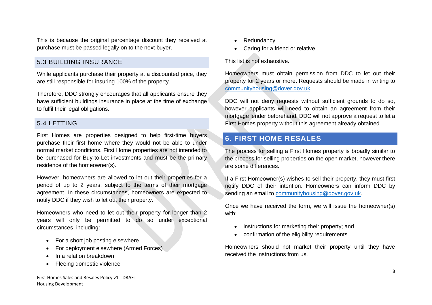This is because the original percentage discount they received at purchase must be passed legally on to the next buyer.

### <span id="page-8-0"></span>5.3 BUILDING INSURANCE

While applicants purchase their property at a discounted price, they are still responsible for insuring 100% of the property.

Therefore, DDC strongly encourages that all applicants ensure they have sufficient buildings insurance in place at the time of exchange to fulfil their legal obligations.

#### <span id="page-8-1"></span>5.4 LETTING

First Homes are properties designed to help first-time buyers purchase their first home where they would not be able to under normal market conditions. First Home properties are not intended to be purchased for Buy-to-Let investments and must be the primary residence of the homeowner(s).

However, homeowners are allowed to let out their properties for a period of up to 2 years, subject to the terms of their mortgage agreement. In these circumstances, homeowners are expected to notify DDC if they wish to let out their property.

Homeowners who need to let out their property for longer than 2 years will only be permitted to do so under exceptional circumstances, including:

- For a short job posting elsewhere
- For deployment elsewhere (Armed Forces)
- In a relation breakdown
- Fleeing domestic violence
- Redundancy
- Caring for a friend or relative

This list is not exhaustive.

Homeowners must obtain permission from DDC to let out their property for 2 years or more. Requests should be made in writing to [communityhousing@dover.gov.uk.](mailto:communityhousing@dover.gov.uk)

DDC will not deny requests without sufficient grounds to do so, however applicants will need to obtain an agreement from their mortgage lender beforehand. DDC will not approve a request to let a First Homes property without this agreement already obtained.

# <span id="page-8-2"></span>**6. FIRST HOME RESALES**

The process for selling a First Homes property is broadly similar to the process for selling properties on the open market, however there are some differences.

If a First Homeowner(s) wishes to sell their property, they must first notify DDC of their intention. Homeowners can inform DDC by sending an email to [communityhousing@dover.gov.uk.](mailto:communityhousing@dover.gov.uk)

Once we have received the form, we will issue the homeowner(s) with:

- instructions for marketing their property; and
- confirmation of the eligibility requirements.

Homeowners should not market their property until they have received the instructions from us.

First Homes Sales and Resales Policy v1 - DRAFT Housing Development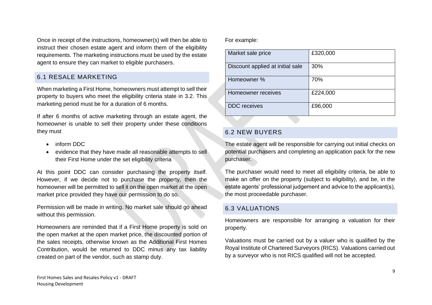Once in receipt of the instructions, homeowner(s) will then be able to instruct their chosen estate agent and inform them of the eligibility requirements. The marketing instructions must be used by the estate agent to ensure they can market to eligible purchasers.

### <span id="page-9-0"></span>6.1 RESALE MARKETING

When marketing a First Home, homeowners must attempt to sell their property to buyers who meet the eligibility criteria state in 3.2. This marketing period must be for a duration of 6 months.

If after 6 months of active marketing through an estate agent, the homeowner is unable to sell their property under these conditions they must

- inform DDC
- evidence that they have made all reasonable attempts to sell their First Home under the set eligibility criteria

At this point DDC can consider purchasing the property itself. However, if we decide not to purchase the property, then the homeowner will be permitted to sell it on the open market at the open market price provided they have our permission to do so.

Permission will be made in writing. No market sale should go ahead without this permission.

Homeowners are reminded that if a First Home property is sold on the open market at the open market price, the discounted portion of the sales receipts, otherwise known as the Additional First Homes Contribution, would be returned to DDC minus any tax liability created on part of the vendor, such as stamp duty.

For example:

| Market sale price                | £320,000 |
|----------------------------------|----------|
| Discount applied at initial sale | 30%      |
| Homeowner %                      | 70%      |
| Homeowner receives               | £224,000 |
| <b>DDC</b> receives              | £96,000  |

## <span id="page-9-1"></span>6.2 NEW BUYERS

The estate agent will be responsible for carrying out initial checks on potential purchasers and completing an application pack for the new purchaser.

The purchaser would need to meet all eligibility criteria, be able to make an offer on the property (subject to eligibility), and be, in the estate agents' professional judgement and advice to the applicant(s), the most proceedable purchaser.

## <span id="page-9-2"></span>6.3 VALUATIONS

Homeowners are responsible for arranging a valuation for their property.

Valuations must be carried out by a valuer who is qualified by the Royal Institute of Chartered Surveyors (RICS). Valuations carried out by a surveyor who is not RICS qualified will not be accepted.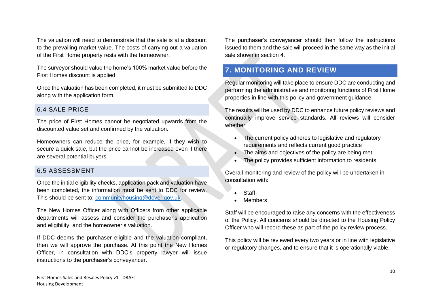The valuation will need to demonstrate that the sale is at a discount to the prevailing market value. The costs of carrying out a valuation of the First Home property rests with the homeowner.

The surveyor should value the home's 100% market value before the First Homes discount is applied.

Once the valuation has been completed, it must be submitted to DDC along with the application form.

#### <span id="page-10-0"></span>6.4 SALE PRICE

The price of First Homes cannot be negotiated upwards from the discounted value set and confirmed by the valuation.

Homeowners can reduce the price, for example, if they wish to secure a quick sale, but the price cannot be increased even if there are several potential buyers.

#### <span id="page-10-1"></span>6.5 ASSESSMENT

Once the initial eligibility checks, application pack and valuation have been completed, the information must be sent to DDC for review. This should be sent to: [communityhousing@dover.gov.uk.](mailto:communityhousing@dover.gov.uk)

The New Homes Officer along with Officers from other applicable departments will assess and consider the purchaser's application and eligibility, and the homeowner's valuation.

If DDC deems the purchaser eligible and the valuation compliant, then we will approve the purchase. At this point the New Homes Officer, in consultation with DDC's property lawyer will issue instructions to the purchaser's conveyancer.

The purchaser's conveyancer should then follow the instructions issued to them and the sale will proceed in the same way as the initial sale shown in section 4.

# <span id="page-10-2"></span>**7. MONITORING AND REVIEW**

Regular monitoring will take place to ensure DDC are conducting and performing the administrative and monitoring functions of First Home properties in line with this policy and government guidance.

The results will be used by DDC to enhance future policy reviews and continually improve service standards. All reviews will consider whether:

- The current policy adheres to legislative and regulatory requirements and reflects current good practice
- The aims and objectives of the policy are being met
- The policy provides sufficient information to residents

Overall monitoring and review of the policy will be undertaken in consultation with:

- Staff
- Members

Staff will be encouraged to raise any concerns with the effectiveness of the Policy. All concerns should be directed to the Housing Policy Officer who will record these as part of the policy review process.

This policy will be reviewed every two years or in line with legislative or regulatory changes, and to ensure that it is operationally viable.